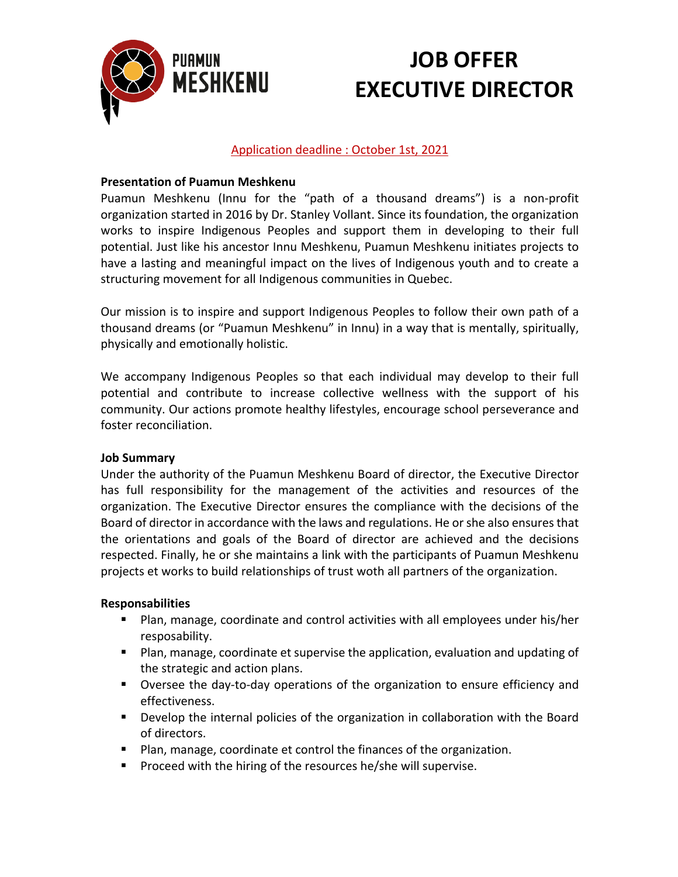

# **JOB OFFER EXECUTIVE DIRECTOR**

## Application deadline : October 1st, 2021

### **Presentation of Puamun Meshkenu**

Puamun Meshkenu (Innu for the "path of a thousand dreams") is a non-profit organization started in 2016 by Dr. Stanley Vollant. Since its foundation, the organization works to inspire Indigenous Peoples and support them in developing to their full potential. Just like his ancestor Innu Meshkenu, Puamun Meshkenu initiates projects to have a lasting and meaningful impact on the lives of Indigenous youth and to create a structuring movement for all Indigenous communities in Quebec.

Our mission is to inspire and support Indigenous Peoples to follow their own path of a thousand dreams (or "Puamun Meshkenu" in Innu) in a way that is mentally, spiritually, physically and emotionally holistic.

We accompany Indigenous Peoples so that each individual may develop to their full potential and contribute to increase collective wellness with the support of his community. Our actions promote healthy lifestyles, encourage school perseverance and foster reconciliation.

#### **Job Summary**

Under the authority of the Puamun Meshkenu Board of director, the Executive Director has full responsibility for the management of the activities and resources of the organization. The Executive Director ensures the compliance with the decisions of the Board of director in accordance with the laws and regulations. He or she also ensures that the orientations and goals of the Board of director are achieved and the decisions respected. Finally, he or she maintains a link with the participants of Puamun Meshkenu projects et works to build relationships of trust woth all partners of the organization.

#### **Responsabilities**

- Plan, manage, coordinate and control activities with all employees under his/her resposability.
- Plan, manage, coordinate et supervise the application, evaluation and updating of the strategic and action plans.
- Oversee the day-to-day operations of the organization to ensure efficiency and effectiveness.
- Develop the internal policies of the organization in collaboration with the Board of directors.
- Plan, manage, coordinate et control the finances of the organization.
- Proceed with the hiring of the resources he/she will supervise.